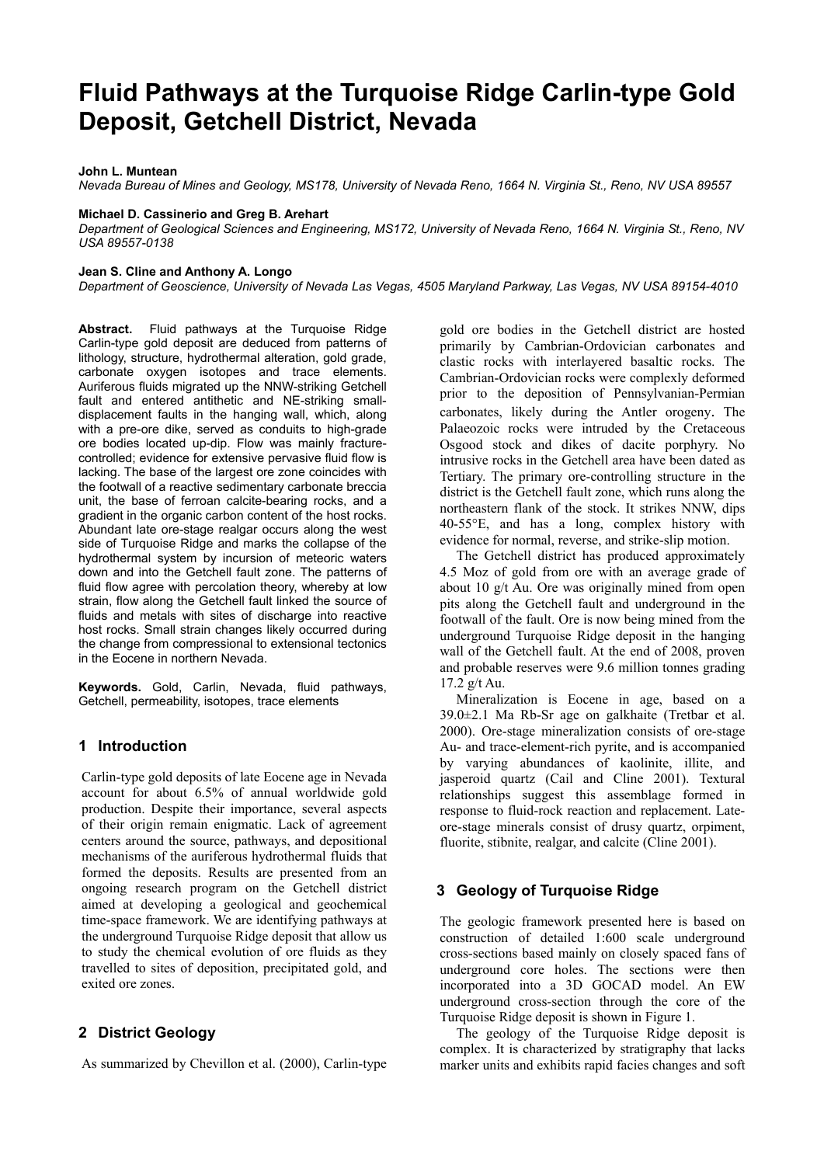# **Fluid Pathways at the Turquoise Ridge Carlin-type Gold Deposit, Getchell District, Nevada**

#### **John L. Muntean**

*Nevada Bureau of Mines and Geology, MS178, University of Nevada Reno, 1664 N. Virginia St., Reno, NV USA 89557* 

#### **Michael D. Cassinerio and Greg B. Arehart**

*Department of Geological Sciences and Engineering, MS172, University of Nevada Reno, 1664 N. Virginia St., Reno, NV USA 89557-0138* 

#### **Jean S. Cline and Anthony A. Longo**

*Department of Geoscience, University of Nevada Las Vegas, 4505 Maryland Parkway, Las Vegas, NV USA 89154-4010* 

**Abstract.** Fluid pathways at the Turquoise Ridge Carlin-type gold deposit are deduced from patterns of lithology, structure, hydrothermal alteration, gold grade, carbonate oxygen isotopes and trace elements. Auriferous fluids migrated up the NNW-striking Getchell fault and entered antithetic and NE-striking smalldisplacement faults in the hanging wall, which, along with a pre-ore dike, served as conduits to high-grade ore bodies located up-dip. Flow was mainly fracturecontrolled; evidence for extensive pervasive fluid flow is lacking. The base of the largest ore zone coincides with the footwall of a reactive sedimentary carbonate breccia unit, the base of ferroan calcite-bearing rocks, and a gradient in the organic carbon content of the host rocks. Abundant late ore-stage realgar occurs along the west side of Turquoise Ridge and marks the collapse of the hydrothermal system by incursion of meteoric waters down and into the Getchell fault zone. The patterns of fluid flow agree with percolation theory, whereby at low strain, flow along the Getchell fault linked the source of fluids and metals with sites of discharge into reactive host rocks. Small strain changes likely occurred during the change from compressional to extensional tectonics in the Eocene in northern Nevada.

**Keywords.** Gold, Carlin, Nevada, fluid pathways, Getchell, permeability, isotopes, trace elements

## **1 Introduction**

Carlin-type gold deposits of late Eocene age in Nevada account for about 6.5% of annual worldwide gold production. Despite their importance, several aspects of their origin remain enigmatic. Lack of agreement centers around the source, pathways, and depositional mechanisms of the auriferous hydrothermal fluids that formed the deposits. Results are presented from an ongoing research program on the Getchell district aimed at developing a geological and geochemical time-space framework. We are identifying pathways at the underground Turquoise Ridge deposit that allow us to study the chemical evolution of ore fluids as they travelled to sites of deposition, precipitated gold, and exited ore zones.

# **2 District Geology**

As summarized by Chevillon et al. (2000), Carlin-type

gold ore bodies in the Getchell district are hosted primarily by Cambrian-Ordovician carbonates and clastic rocks with interlayered basaltic rocks. The Cambrian-Ordovician rocks were complexly deformed prior to the deposition of Pennsylvanian-Permian carbonates, likely during the Antler orogeny. The Palaeozoic rocks were intruded by the Cretaceous Osgood stock and dikes of dacite porphyry. No intrusive rocks in the Getchell area have been dated as Tertiary. The primary ore-controlling structure in the district is the Getchell fault zone, which runs along the northeastern flank of the stock. It strikes NNW, dips 40-55°E, and has a long, complex history with evidence for normal, reverse, and strike-slip motion.

The Getchell district has produced approximately 4.5 Moz of gold from ore with an average grade of about 10 g/t Au. Ore was originally mined from open pits along the Getchell fault and underground in the footwall of the fault. Ore is now being mined from the underground Turquoise Ridge deposit in the hanging wall of the Getchell fault. At the end of 2008, proven and probable reserves were 9.6 million tonnes grading 17.2 g/t Au.

Mineralization is Eocene in age, based on a 39.0±2.1 Ma Rb-Sr age on galkhaite (Tretbar et al. 2000). Ore-stage mineralization consists of ore-stage Au- and trace-element-rich pyrite, and is accompanied by varying abundances of kaolinite, illite, and jasperoid quartz (Cail and Cline 2001). Textural relationships suggest this assemblage formed in response to fluid-rock reaction and replacement. Lateore-stage minerals consist of drusy quartz, orpiment, fluorite, stibnite, realgar, and calcite (Cline 2001).

## **3 Geology of Turquoise Ridge**

The geologic framework presented here is based on construction of detailed 1:600 scale underground cross-sections based mainly on closely spaced fans of underground core holes. The sections were then incorporated into a 3D GOCAD model. An EW underground cross-section through the core of the Turquoise Ridge deposit is shown in Figure 1.

The geology of the Turquoise Ridge deposit is complex. It is characterized by stratigraphy that lacks marker units and exhibits rapid facies changes and soft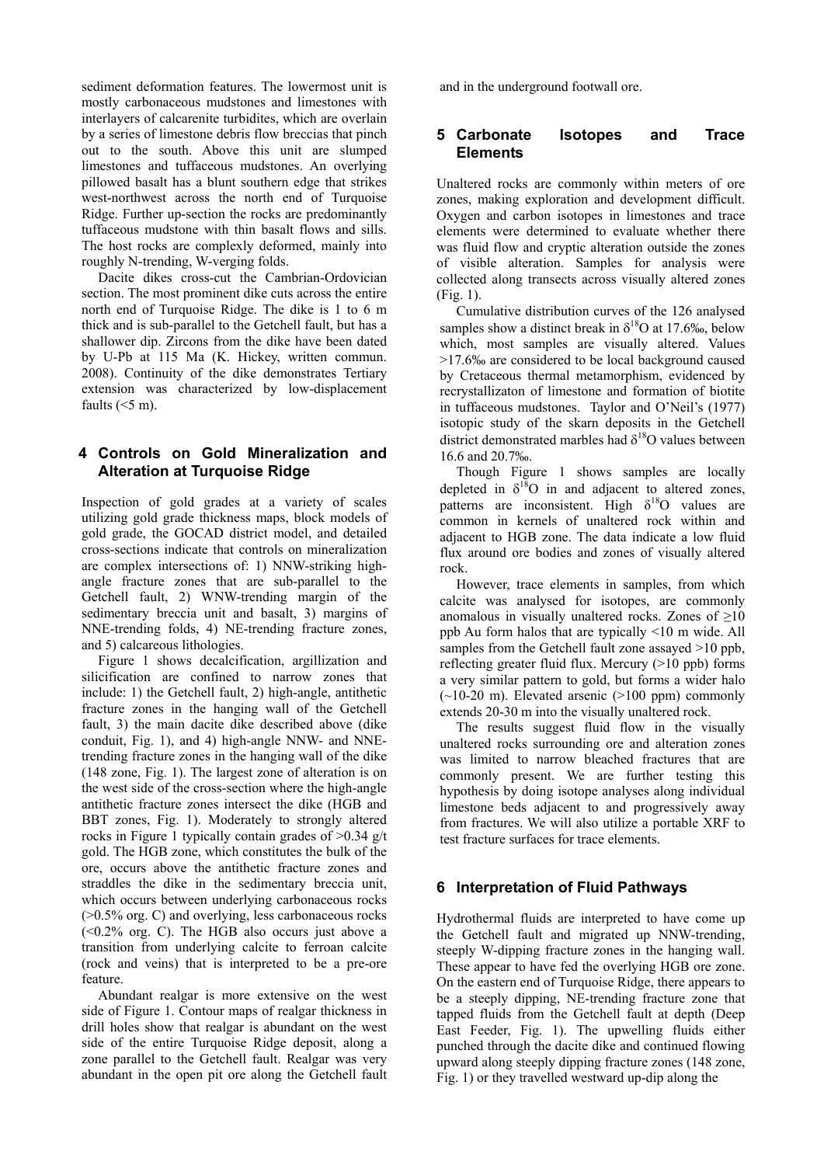sediment deformation features. The lowermost unit is mostly carbonaceous mudstones and limestones with interlayers of calcarenite turbidites, which are overlain by a series of limestone debris flow breccias that pinch out to the south. Above this unit are slumped limestones and tuffaceous mudstones. An overlying pillowed basalt has a blunt southern edge that strikes west-northwest across the north end of Turquoise Ridge. Further up-section the rocks are predominantly tuffaceous mudstone with thin basalt flows and sills. The host rocks are complexly deformed, mainly into roughly N-trending, W-verging folds.

Dacite dikes cross-cut the Cambrian-Ordovician section. The most prominent dike cuts across the entire north end of Turquoise Ridge. The dike is 1 to 6 m thick and is sub-parallel to the Getchell fault, but has a shallower dip. Zircons from the dike have been dated by U-Pb at 115 Ma (K. Hickey, written commun. 2008). Continuity of the dike demonstrates Tertiary extension was characterized by low-displacement faults  $(<5 m)$ .

## **4 Controls on Gold Mineralization and Alteration at Turquoise Ridge**

Inspection of gold grades at a variety of scales utilizing gold grade thickness maps, block models of gold grade, the GOCAD district model, and detailed cross-sections indicate that controls on mineralization are complex intersections of: 1) NNW-striking highangle fracture zones that are sub-parallel to the Getchell fault, 2) WNW-trending margin of the sedimentary breccia unit and basalt, 3) margins of NNE-trending folds, 4) NE-trending fracture zones, and 5) calcareous lithologies.

Figure 1 shows decalcification, argillization and silicification are confined to narrow zones that include: 1) the Getchell fault, 2) high-angle, antithetic fracture zones in the hanging wall of the Getchell fault, 3) the main dacite dike described above (dike conduit, Fig. 1), and 4) high-angle NNW- and NNEtrending fracture zones in the hanging wall of the dike (148 zone, Fig. 1). The largest zone of alteration is on the west side of the cross-section where the high-angle antithetic fracture zones intersect the dike (HGB and BBT zones, Fig. 1). Moderately to strongly altered rocks in Figure 1 typically contain grades of >0.34 g/t gold. The HGB zone, which constitutes the bulk of the ore, occurs above the antithetic fracture zones and straddles the dike in the sedimentary breccia unit, which occurs between underlying carbonaceous rocks (>0.5% org. C) and overlying, less carbonaceous rocks  $( $0.2\%$  org. C)$ . The HGB also occurs just above a transition from underlying calcite to ferroan calcite (rock and veins) that is interpreted to be a pre-ore feature.

Abundant realgar is more extensive on the west side of Figure 1. Contour maps of realgar thickness in drill holes show that realgar is abundant on the west side of the entire Turquoise Ridge deposit, along a zone parallel to the Getchell fault. Realgar was very abundant in the open pit ore along the Getchell fault and in the underground footwall ore.

## **5 Carbonate Isotopes and Trace Elements**

Unaltered rocks are commonly within meters of ore zones, making exploration and development difficult. Oxygen and carbon isotopes in limestones and trace elements were determined to evaluate whether there was fluid flow and cryptic alteration outside the zones of visible alteration. Samples for analysis were collected along transects across visually altered zones (Fig. 1).

Cumulative distribution curves of the 126 analysed samples show a distinct break in  $\delta^{18}$ O at 17.6‰, below which, most samples are visually altered. Values >17.6‰ are considered to be local background caused by Cretaceous thermal metamorphism, evidenced by recrystallizaton of limestone and formation of biotite in tuffaceous mudstones. Taylor and O'Neil's (1977) isotopic study of the skarn deposits in the Getchell district demonstrated marbles had  $\delta^{18}$ O values between 16.6 and 20.7‰.

Though Figure 1 shows samples are locally depleted in  $\delta^{18}O$  in and adjacent to altered zones, patterns are inconsistent. High  $\delta^{18}$ O values are common in kernels of unaltered rock within and adjacent to HGB zone. The data indicate a low fluid flux around ore bodies and zones of visually altered rock.

However, trace elements in samples, from which calcite was analysed for isotopes, are commonly anomalous in visually unaltered rocks. Zones of  $\geq 10$ ppb Au form halos that are typically <10 m wide. All samples from the Getchell fault zone assayed  $>10$  ppb. reflecting greater fluid flux. Mercury  $(>10$  ppb) forms a very similar pattern to gold, but forms a wider halo  $(-10-20 \text{ m})$ . Elevated arsenic  $(>100 \text{ ppm})$  commonly extends 20-30 m into the visually unaltered rock.

The results suggest fluid flow in the visually unaltered rocks surrounding ore and alteration zones was limited to narrow bleached fractures that are commonly present. We are further testing this hypothesis by doing isotope analyses along individual limestone beds adjacent to and progressively away from fractures. We will also utilize a portable XRF to test fracture surfaces for trace elements.

## **6 Interpretation of Fluid Pathways**

Hydrothermal fluids are interpreted to have come up the Getchell fault and migrated up NNW-trending, steeply W-dipping fracture zones in the hanging wall. These appear to have fed the overlying HGB ore zone. On the eastern end of Turquoise Ridge, there appears to be a steeply dipping, NE-trending fracture zone that tapped fluids from the Getchell fault at depth (Deep East Feeder, Fig. 1). The upwelling fluids either punched through the dacite dike and continued flowing upward along steeply dipping fracture zones (148 zone, Fig. 1) or they travelled westward up-dip along the